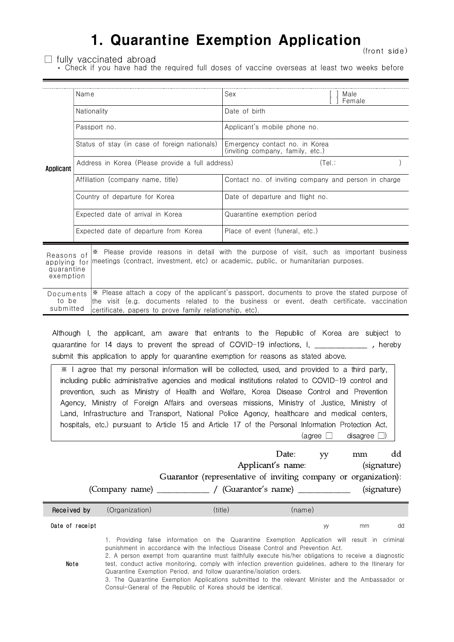## 1. Quarantine Exemption Application (front side)

 $\Box$  fully vaccinated abroad

 $(front side)$ \* Check if you have had the required full doses of vaccine overseas at least two weeks before

| Applicant                                             | Name                                             | Sex<br>Male<br>Female                                                                                                                                                           |  |  |  |  |  |
|-------------------------------------------------------|--------------------------------------------------|---------------------------------------------------------------------------------------------------------------------------------------------------------------------------------|--|--|--|--|--|
|                                                       | Nationality                                      | Date of birth                                                                                                                                                                   |  |  |  |  |  |
|                                                       | Passport no.                                     | Applicant's mobile phone no.                                                                                                                                                    |  |  |  |  |  |
|                                                       | Status of stay (in case of foreign nationals)    | Emergency contact no. in Korea<br>(inviting company, family, etc.)                                                                                                              |  |  |  |  |  |
|                                                       | Address in Korea (Please provide a full address) | (Tel.                                                                                                                                                                           |  |  |  |  |  |
|                                                       | Affiliation (company name, title)                | Contact no. of inviting company and person in charge                                                                                                                            |  |  |  |  |  |
|                                                       | Country of departure for Korea                   | Date of departure and flight no.                                                                                                                                                |  |  |  |  |  |
|                                                       | Expected date of arrival in Korea                | Quarantine exemption period                                                                                                                                                     |  |  |  |  |  |
|                                                       | Expected date of departure from Korea            | Place of event (funeral, etc.)                                                                                                                                                  |  |  |  |  |  |
| Reasons of<br>applying for<br>quarantine<br>exemption |                                                  | * Please provide reasons in detail with the purpose of visit, such as important business<br>meetings (contract, investment, etc) or academic, public, or humanitarian purposes. |  |  |  |  |  |

Documents  $\frac{1}{2}$  Please attach a copy of the applicant's passport, documents to prove the stated purpose of to be<br>to be the visit (e.g. documents related to the business or event, death certificate, vaccination<br>submitt to be the visit (e.g. documents related to the business or event, death certificate, vaccination certificate, papers to prove family relationship, etc).

Although I, the applicant, am aware that entrants to the Republic of Korea are subject to quarantine for 14 days to prevent the spread of COVID-19 infections, I, \_\_\_\_\_\_\_\_\_\_\_\_\_, hereby submit this application to apply for quarantine exemption for reasons as stated above.

※ I agree that my personal information will be collected, used, and provided to a third party, including public administrative agencies and medical institutions related to COVID-19 control and prevention, such as Ministry of Health and Welfare, Korea Disease Control and Prevention Agency, Ministry of Foreign Affairs and overseas missions, Ministry of Justice, Ministry of Land, Infrastructure and Transport, National Police Agency, healthcare and medical centers, hospitals, etc.) pursuant to Article 15 and Article 17 of the Personal Information Protection Act. (agree  $\Box$  disagree  $\Box$ )

|                                                                 |                   |         | Date:  | VV | mm          | dd          |  |  |
|-----------------------------------------------------------------|-------------------|---------|--------|----|-------------|-------------|--|--|
|                                                                 | Applicant's name: |         |        |    |             | (signature) |  |  |
| Guarantor (representative of inviting company or organization): |                   |         |        |    |             |             |  |  |
|                                                                 |                   |         |        |    | (signature) |             |  |  |
| Received by                                                     | (Organization)    | (title) | (name) |    |             |             |  |  |

| Hecelved Dy     | (Urganization)              | (title) |                             |                               | <u>(riame)</u>              |   |                                                                                                                 |    |
|-----------------|-----------------------------|---------|-----------------------------|-------------------------------|-----------------------------|---|-----------------------------------------------------------------------------------------------------------------|----|
| Date of receipt |                             |         |                             |                               |                             | W | mm                                                                                                              | dd |
|                 | $\sim$ $\sim$ $\sim$ $\sim$ |         | $\sim$ $\sim$ $\sim$ $\sim$ | $\overline{\phantom{a}}$<br>. | $\sim$ $\sim$ $\sim$ $\sim$ |   | the contract of the contract of the contract of the contract of the contract of the contract of the contract of |    |

1. Providing false information on the Quarantine Exemption Application will result in criminal punishment in accordance with the Infectious Disease Control and Prevention Act.

Note

2. A person exempt from quarantine must faithfully execute his/her obligations to receive a diagnostic test, conduct active monitoring, comply with infection prevention guidelines, adhere to the Itinerary for Quarantine Exemption Period, and follow quarantine/isolation orders. 3. The Quarantine Exemption Applications submitted to the relevant Minister and the Ambassador or

Consul-General of the Republic of Korea should be identical.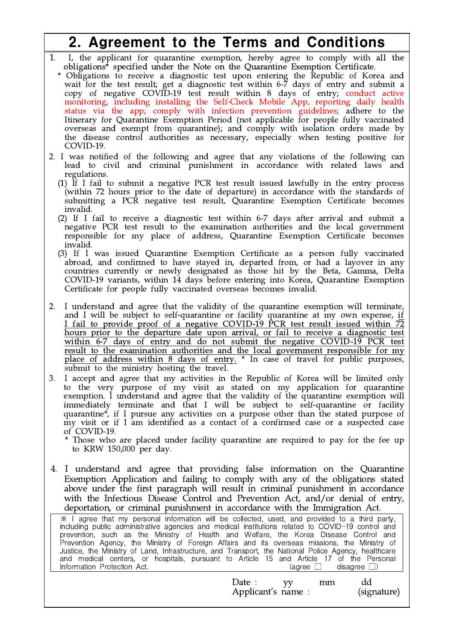## 2. Agreement to the Terms and Conditions

- 1. I, the applicant for quarantine exemption, hereby agree to comply with all the obligations\* specified under the Note on the Quarantine Exemption Certificate.
- \* Obligations to receive a diagnostic test upon entering the Republic of Korea and wait for the test result; get a diagnostic test within 6-7 days of entry and submit a copy of negative COVID-19 test result within 8 days of entry; conduct active monitoring, including installing the Self-Check Mobile App, reporting daily health status via the app; comply with infection prevention guidelines; adhere to the Itinerary for Quarantine Exemption Period (not applicable for people fully vaccinated overseas and exempt from quarantine); and comply with isolation orders made by the disease control authorities as necessary, especially when testing positive for COVID-19.
- 2. I was notified of the following and agree that any violations of the following can lead to civil and criminal punishment in accordance with related laws and regulations.
	- (1) If I fail to submit a negative PCR test result issued lawfully in the entry process (within 72 hours prior to the date of departure) in accordance with the standards of submitting a PCR negative test result, Quarantine Exemption Certificate becomes invalid.
	- (2) If I fail to receive a diagnostic test within 6-7 days after arrival and submit a negative PCR test result to the examination authorities and the local government responsible for my place of address, Quarantine Exemption Certificate becomes invalid.
	- (3) If I was issued Quarantine Exemption Certificate as a person fully vaccinated abroad, and confirmed to have stayed in, departed from, or had a layover in any countries currently or newly designated as those hit by the Beta, Gamma, Delta COVID-19 variants, within 14 days before entering into Korea, Quarantine Exemption Certificate for people fully vaccinated overseas becomes invalid.
- 2. I understand and agree that the validity of the quarantine exemption will terminate, and I will be subject to self-quarantine or facility quarantine at my own expense, if I fail to provide proof of a negative COVID-19 PCR test result issued within  $\overline{72}$ hours prior to the departure date upon arrival, or fail to receive a diagnostic test within 6-7 days of entry and do not submit the negative COVID-19 PCR test result to the examination authorities and the local government responsible for my place of address within 8 days of entry. \* In case of travel for public purposes, submit to the ministry hosting the travel.
- 3. I accept and agree that my activities in the Republic of Korea will be limited only to the very purpose of my visit as stated on my application for quarantine exemption. I understand and agree that the validity of the quarantine exemption will immediately terminate and that I will be subject to self-quarantine or facility quarantine\*, if I pursue any activities on a purpose other than the stated purpose of my visit or if I am identified as a contact of a confirmed case or a suspected case of COVID-19.

Those who are placed under facility quarantine are required to pay for the fee up to KRW 150,000 per day.

4. I understand and agree that providing false information on the Quarantine Exemption Application and failing to comply with any of the obligations stated above under the first paragraph will result in criminal punishment in accordance with the Infectious Disease Control and Prevention Act, and/or denial of entry, deportation, or criminal punishment in accordance with the Immigration Act.

※ I agree that my personal information will be collected, used, and provided to a third party, including public administrative agencies and medical institutions related to COVID-19 control and prevention, such as the Ministry of Health and Welfare, the Korea Disease Control and Prevention Agency, the Ministry of Foreign Affairs and its overseas missions, the Ministry of | | Justice, the Ministry of Land, Infrastructure, and Transport, the National Police Agency, healthcare and medical centers, or hospitals, pursuant to Article 15 and Article 17 of the Personal Information Protection Act. (agree □ disagree □)

| Date:<br>Applicant's name: | mm | (signature) |  |
|----------------------------|----|-------------|--|
|                            |    |             |  |